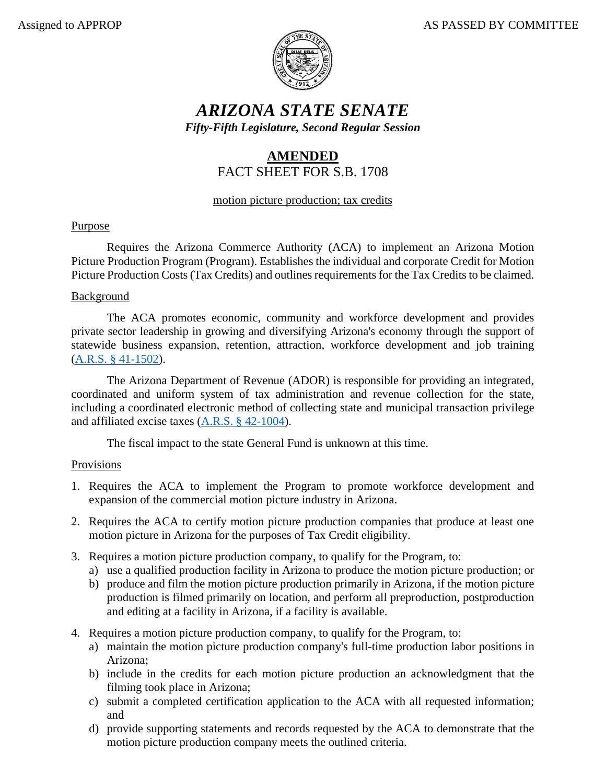

# *ARIZONA STATE SENATE Fifty-Fifth Legislature, Second Regular Session*

# **AMENDED** FACT SHEET FOR S.B. 1708

## motion picture production; tax credits

# Purpose

Requires the Arizona Commerce Authority (ACA) to implement an Arizona Motion Picture Production Program (Program). Establishes the individual and corporate Credit for Motion Picture Production Costs (Tax Credits) and outlines requirements for the Tax Credits to be claimed.

#### Background

The ACA promotes economic, community and workforce development and provides private sector leadership in growing and diversifying Arizona's economy through the support of statewide business expansion, retention, attraction, workforce development and job training [\(A.R.S. § 41-1502\)](https://www.azleg.gov/viewdocument/?docName=https://www.azleg.gov/ars/41/01502.htm).

The Arizona Department of Revenue (ADOR) is responsible for providing an integrated, coordinated and uniform system of tax administration and revenue collection for the state, including a coordinated electronic method of collecting state and municipal transaction privilege and affiliated excise taxes [\(A.R.S. § 42-1004\)](https://www.azleg.gov/viewdocument/?docName=https://www.azleg.gov/ars/42/01004.htm).

The fiscal impact to the state General Fund is unknown at this time.

## Provisions

- 1. Requires the ACA to implement the Program to promote workforce development and expansion of the commercial motion picture industry in Arizona.
- 2. Requires the ACA to certify motion picture production companies that produce at least one motion picture in Arizona for the purposes of Tax Credit eligibility.
- 3. Requires a motion picture production company, to qualify for the Program, to:
	- a) use a qualified production facility in Arizona to produce the motion picture production; or
	- b) produce and film the motion picture production primarily in Arizona, if the motion picture production is filmed primarily on location, and perform all preproduction, postproduction and editing at a facility in Arizona, if a facility is available.
- 4. Requires a motion picture production company, to qualify for the Program, to:
	- a) maintain the motion picture production company's full-time production labor positions in Arizona;
	- b) include in the credits for each motion picture production an acknowledgment that the filming took place in Arizona;
	- c) submit a completed certification application to the ACA with all requested information; and
	- d) provide supporting statements and records requested by the ACA to demonstrate that the motion picture production company meets the outlined criteria.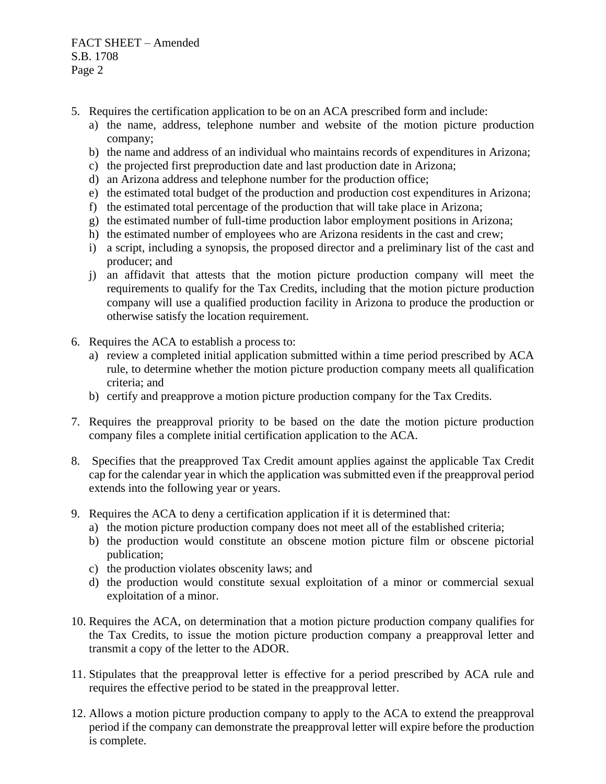FACT SHEET – Amended S.B. 1708 Page 2

- 5. Requires the certification application to be on an ACA prescribed form and include:
	- a) the name, address, telephone number and website of the motion picture production company;
	- b) the name and address of an individual who maintains records of expenditures in Arizona;
	- c) the projected first preproduction date and last production date in Arizona;
	- d) an Arizona address and telephone number for the production office;
	- e) the estimated total budget of the production and production cost expenditures in Arizona;
	- f) the estimated total percentage of the production that will take place in Arizona;
	- g) the estimated number of full-time production labor employment positions in Arizona;
	- h) the estimated number of employees who are Arizona residents in the cast and crew;
	- i) a script, including a synopsis, the proposed director and a preliminary list of the cast and producer; and
	- j) an affidavit that attests that the motion picture production company will meet the requirements to qualify for the Tax Credits, including that the motion picture production company will use a qualified production facility in Arizona to produce the production or otherwise satisfy the location requirement.
- 6. Requires the ACA to establish a process to:
	- a) review a completed initial application submitted within a time period prescribed by ACA rule, to determine whether the motion picture production company meets all qualification criteria; and
	- b) certify and preapprove a motion picture production company for the Tax Credits.
- 7. Requires the preapproval priority to be based on the date the motion picture production company files a complete initial certification application to the ACA.
- 8. Specifies that the preapproved Tax Credit amount applies against the applicable Tax Credit cap for the calendar year in which the application was submitted even if the preapproval period extends into the following year or years.
- 9. Requires the ACA to deny a certification application if it is determined that:
	- a) the motion picture production company does not meet all of the established criteria;
	- b) the production would constitute an obscene motion picture film or obscene pictorial publication;
	- c) the production violates obscenity laws; and
	- d) the production would constitute sexual exploitation of a minor or commercial sexual exploitation of a minor.
- 10. Requires the ACA, on determination that a motion picture production company qualifies for the Tax Credits, to issue the motion picture production company a preapproval letter and transmit a copy of the letter to the ADOR.
- 11. Stipulates that the preapproval letter is effective for a period prescribed by ACA rule and requires the effective period to be stated in the preapproval letter.
- 12. Allows a motion picture production company to apply to the ACA to extend the preapproval period if the company can demonstrate the preapproval letter will expire before the production is complete.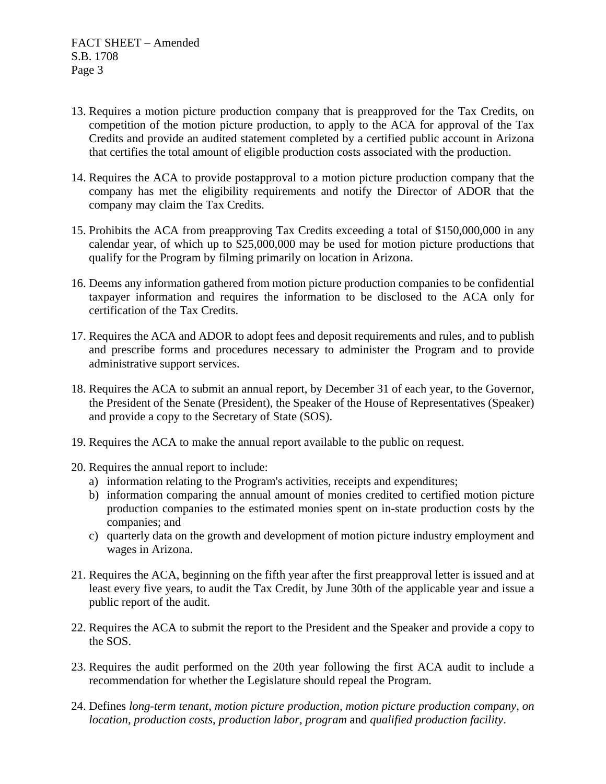- 13. Requires a motion picture production company that is preapproved for the Tax Credits, on competition of the motion picture production, to apply to the ACA for approval of the Tax Credits and provide an audited statement completed by a certified public account in Arizona that certifies the total amount of eligible production costs associated with the production.
- 14. Requires the ACA to provide postapproval to a motion picture production company that the company has met the eligibility requirements and notify the Director of ADOR that the company may claim the Tax Credits.
- 15. Prohibits the ACA from preapproving Tax Credits exceeding a total of \$150,000,000 in any calendar year, of which up to \$25,000,000 may be used for motion picture productions that qualify for the Program by filming primarily on location in Arizona.
- 16. Deems any information gathered from motion picture production companies to be confidential taxpayer information and requires the information to be disclosed to the ACA only for certification of the Tax Credits.
- 17. Requires the ACA and ADOR to adopt fees and deposit requirements and rules, and to publish and prescribe forms and procedures necessary to administer the Program and to provide administrative support services.
- 18. Requires the ACA to submit an annual report, by December 31 of each year, to the Governor, the President of the Senate (President), the Speaker of the House of Representatives (Speaker) and provide a copy to the Secretary of State (SOS).
- 19. Requires the ACA to make the annual report available to the public on request.
- 20. Requires the annual report to include:
	- a) information relating to the Program's activities, receipts and expenditures;
	- b) information comparing the annual amount of monies credited to certified motion picture production companies to the estimated monies spent on in-state production costs by the companies; and
	- c) quarterly data on the growth and development of motion picture industry employment and wages in Arizona.
- 21. Requires the ACA, beginning on the fifth year after the first preapproval letter is issued and at least every five years, to audit the Tax Credit, by June 30th of the applicable year and issue a public report of the audit.
- 22. Requires the ACA to submit the report to the President and the Speaker and provide a copy to the SOS.
- 23. Requires the audit performed on the 20th year following the first ACA audit to include a recommendation for whether the Legislature should repeal the Program.
- 24. Defines *long-term tenant*, *motion picture production*, *motion picture production company*, *on location*, *production costs*, *production labor*, *program* and *qualified production facility*.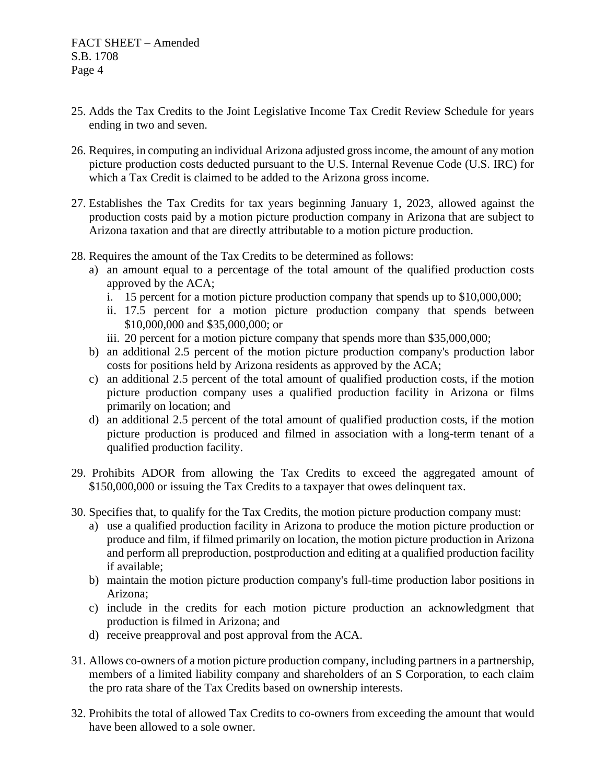- 25. Adds the Tax Credits to the Joint Legislative Income Tax Credit Review Schedule for years ending in two and seven.
- 26. Requires, in computing an individual Arizona adjusted gross income, the amount of any motion picture production costs deducted pursuant to the U.S. Internal Revenue Code (U.S. IRC) for which a Tax Credit is claimed to be added to the Arizona gross income.
- 27. Establishes the Tax Credits for tax years beginning January 1, 2023, allowed against the production costs paid by a motion picture production company in Arizona that are subject to Arizona taxation and that are directly attributable to a motion picture production.
- 28. Requires the amount of the Tax Credits to be determined as follows:
	- a) an amount equal to a percentage of the total amount of the qualified production costs approved by the ACA;
		- i. 15 percent for a motion picture production company that spends up to \$10,000,000;
		- ii. 17.5 percent for a motion picture production company that spends between \$10,000,000 and \$35,000,000; or
		- iii. 20 percent for a motion picture company that spends more than \$35,000,000;
	- b) an additional 2.5 percent of the motion picture production company's production labor costs for positions held by Arizona residents as approved by the ACA;
	- c) an additional 2.5 percent of the total amount of qualified production costs, if the motion picture production company uses a qualified production facility in Arizona or films primarily on location; and
	- d) an additional 2.5 percent of the total amount of qualified production costs, if the motion picture production is produced and filmed in association with a long-term tenant of a qualified production facility.
- 29. Prohibits ADOR from allowing the Tax Credits to exceed the aggregated amount of \$150,000,000 or issuing the Tax Credits to a taxpayer that owes delinquent tax.
- 30. Specifies that, to qualify for the Tax Credits, the motion picture production company must:
	- a) use a qualified production facility in Arizona to produce the motion picture production or produce and film, if filmed primarily on location, the motion picture production in Arizona and perform all preproduction, postproduction and editing at a qualified production facility if available;
	- b) maintain the motion picture production company's full-time production labor positions in Arizona;
	- c) include in the credits for each motion picture production an acknowledgment that production is filmed in Arizona; and
	- d) receive preapproval and post approval from the ACA.
- 31. Allows co-owners of a motion picture production company, including partners in a partnership, members of a limited liability company and shareholders of an S Corporation, to each claim the pro rata share of the Tax Credits based on ownership interests.
- 32. Prohibits the total of allowed Tax Credits to co-owners from exceeding the amount that would have been allowed to a sole owner.